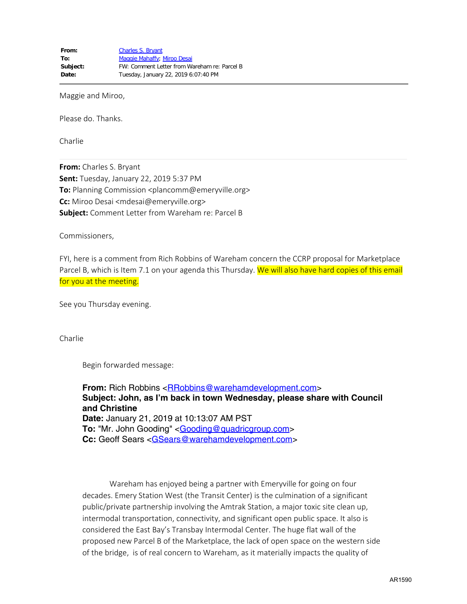Maggie and Miroo,

Please do. Thanks.

Charlie

**From:** Charles S. Bryant **Sent:** Tuesday, January 22, 2019 5:37 PM **To:** Planning Commission <plancomm@emeryville.org> **Cc:** Miroo Desai <mdesai@emeryville.org> **Subject:** Comment Letter from Wareham re: Parcel B

Commissioners,

FYI, here is a comment from Rich Robbins of Wareham concern the CCRP proposal for Marketplace Parcel B, which is Item 7.1 on your agenda this Thursday. We will also have hard copies of this email for you at the meeting.

See you Thursday evening.

Charlie

Begin forwarded message:

**From:** Rich Robbins [<RRobbins@warehamdevelopment.com](mailto:RRobbins@warehamdevelopment.com)> **Subject: John, as I'm back in town Wednesday, please share with Council and Christine Date:** January 21, 2019 at 10:13:07 AM PST **To:** "Mr. John Gooding" <**[Gooding@quadricgroup.com>](mailto:Gooding@quadricgroup.com) Cc:** Geoff Sears <[GSears@warehamdevelopment.com>](mailto:GSears@warehamdevelopment.com)

 Wareham has enjoyed being a partner with Emeryville for going on four decades. Emery Station West (the Transit Center) is the culmination of a significant public/private partnership involving the Amtrak Station, a major toxic site clean up, intermodal transportation, connectivity, and significant open public space. It also is considered the East Bay's Transbay Intermodal Center. The huge flat wall of the proposed new Parcel B of the Marketplace, the lack of open space on the western side of the bridge, is of real concern to Wareham, as it materially impacts the quality of